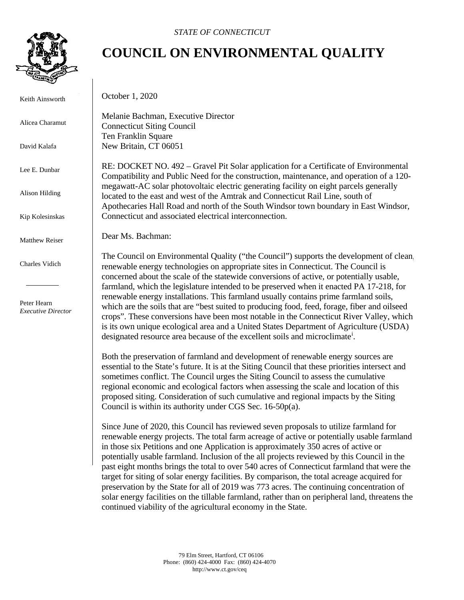

Keith Ainsworth

Alicea Charamut

David Kalafa

Lee E. Dunbar

Alison Hilding

Kip Kolesinskas

Matthew Reiser

Charles Vidich

 Peter Hearn *Executive Director*

## **COUNCIL ON ENVIRONMENTAL QUALITY**

October 1, 2020

Melanie Bachman, Executive Director Connecticut Siting Council Ten Franklin Square New Britain, CT 06051

RE: DOCKET NO. 492 – Gravel Pit Solar application for a Certificate of Environmental Compatibility and Public Need for the construction, maintenance, and operation of a 120 megawatt-AC solar photovoltaic electric generating facility on eight parcels generally located to the east and west of the Amtrak and Connecticut Rail Line, south of Apothecaries Hall Road and north of the South Windsor town boundary in East Windsor, Connecticut and associated electrical interconnection.

Dear Ms. Bachman:

The Council on Environmental Quality ("the Council") supports the development of clean, renewable energy technologies on appropriate sites in Connecticut. The Council is concerned about the scale of the statewide conversions of active, or potentially usable, farmland, which the legislature intended to be preserved when it enacted PA 17-218, for renewable energy installations. This farmland usually contains prime farmland soils, which are the soils that are "best suited to producing food, feed, forage, fiber and oilseed crops". These conversions have been most notable in the Connecticut River Valley, which is its own unique ecological area and a United States Department of Agriculture (USDA) des[i](#page-2-0)gnated resource area because of the excellent soils and microclimate<sup>1</sup>.

Both the preservation of farmland and development of renewable energy sources are essential to the State's future. It is at the Siting Council that these priorities intersect and sometimes conflict. The Council urges the Siting Council to assess the cumulative regional economic and ecological factors when assessing the scale and location of this proposed siting. Consideration of such cumulative and regional impacts by the Siting Council is within its authority under CGS Sec. 16-50p(a).

Since June of 2020, this Council has reviewed seven proposals to utilize farmland for renewable energy projects. The total farm acreage of active or potentially usable farmland in those six Petitions and one Application is approximately 350 acres of active or potentially usable farmland. Inclusion of the all projects reviewed by this Council in the past eight months brings the total to over 540 acres of Connecticut farmland that were the target for siting of solar energy facilities. By comparison, the total acreage acquired for preservation by the State for all of 2019 was 773 acres. The continuing concentration of solar energy facilities on the tillable farmland, rather than on peripheral land, threatens the continued viability of the agricultural economy in the State.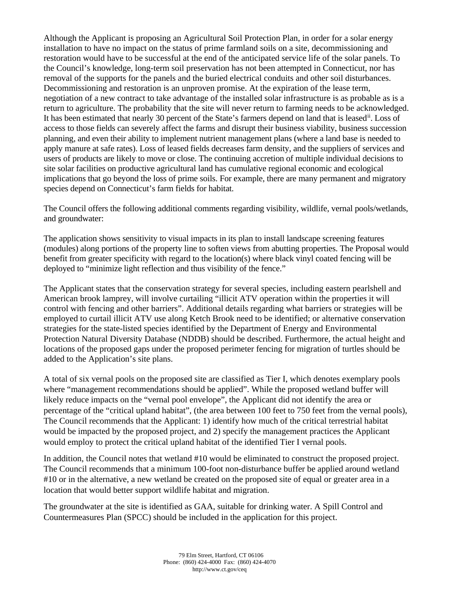Although the Applicant is proposing an Agricultural Soil Protection Plan, in order for a solar energy installation to have no impact on the status of prime farmland soils on a site, decommissioning and restoration would have to be successful at the end of the anticipated service life of the solar panels. To the Council's knowledge, long-term soil preservation has not been attempted in Connecticut, nor has removal of the supports for the panels and the buried electrical conduits and other soil disturbances. Decommissioning and restoration is an unproven promise. At the expiration of the lease term, negotiation of a new contract to take advantage of the installed solar infrastructure is as probable as is a return to agriculture. The probability that the site will never return to farming needs to be acknowledged. It has been estimated that nearly 30 percent of the State's farmers depend on land that is leased<sup>[ii](#page-2-1)</sup>. Loss of access to those fields can severely affect the farms and disrupt their business viability, business succession planning, and even their ability to implement nutrient management plans (where a land base is needed to apply manure at safe rates). Loss of leased fields decreases farm density, and the suppliers of services and users of products are likely to move or close. The continuing accretion of multiple individual decisions to site solar facilities on productive agricultural land has cumulative regional economic and ecological implications that go beyond the loss of prime soils. For example, there are many permanent and migratory species depend on Connecticut's farm fields for habitat.

The Council offers the following additional comments regarding visibility, wildlife, vernal pools/wetlands, and groundwater:

The application shows sensitivity to visual impacts in its plan to install landscape screening features (modules) along portions of the property line to soften views from abutting properties. The Proposal would benefit from greater specificity with regard to the location(s) where black vinyl coated fencing will be deployed to "minimize light reflection and thus visibility of the fence."

The Applicant states that the conservation strategy for several species, including eastern pearlshell and American brook lamprey, will involve curtailing "illicit ATV operation within the properties it will control with fencing and other barriers". Additional details regarding what barriers or strategies will be employed to curtail illicit ATV use along Ketch Brook need to be identified; or alternative conservation strategies for the state-listed species identified by the Department of Energy and Environmental Protection Natural Diversity Database (NDDB) should be described. Furthermore, the actual height and locations of the proposed gaps under the proposed perimeter fencing for migration of turtles should be added to the Application's site plans.

A total of six vernal pools on the proposed site are classified as Tier I, which denotes exemplary pools where "management recommendations should be applied". While the proposed wetland buffer will likely reduce impacts on the "vernal pool envelope", the Applicant did not identify the area or percentage of the "critical upland habitat", (the area between 100 feet to 750 feet from the vernal pools), The Council recommends that the Applicant: 1) identify how much of the critical terrestrial habitat would be impacted by the proposed project, and 2) specify the management practices the Applicant would employ to protect the critical upland habitat of the identified Tier I vernal pools.

In addition, the Council notes that wetland #10 would be eliminated to construct the proposed project. The Council recommends that a minimum 100-foot non-disturbance buffer be applied around wetland #10 or in the alternative, a new wetland be created on the proposed site of equal or greater area in a location that would better support wildlife habitat and migration.

The groundwater at the site is identified as GAA, suitable for drinking water. A Spill Control and Countermeasures Plan (SPCC) should be included in the application for this project.